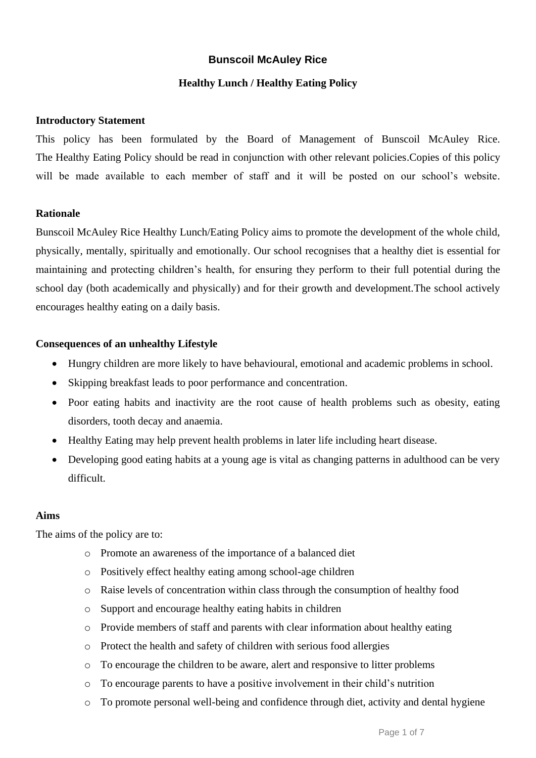## **Bunscoil McAuley Rice**

## **Healthy Lunch / Healthy Eating Policy**

## **Introductory Statement**

This policy has been formulated by the Board of Management of Bunscoil McAuley Rice. The Healthy Eating Policy should be read in conjunction with other relevant policies.Copies of this policy will be made available to each member of staff and it will be posted on our school's website.

### **Rationale**

Bunscoil McAuley Rice Healthy Lunch/Eating Policy aims to promote the development of the whole child, physically, mentally, spiritually and emotionally. Our school recognises that a healthy diet is essential for maintaining and protecting children's health, for ensuring they perform to their full potential during the school day (both academically and physically) and for their growth and development.The school actively encourages healthy eating on a daily basis.

### **Consequences of an unhealthy Lifestyle**

- Hungry children are more likely to have behavioural, emotional and academic problems in school.
- Skipping breakfast leads to poor performance and concentration.
- Poor eating habits and inactivity are the root cause of health problems such as obesity, eating disorders, tooth decay and anaemia.
- Healthy Eating may help prevent health problems in later life including heart disease.
- Developing good eating habits at a young age is vital as changing patterns in adulthood can be very difficult.

## **Aims**

The aims of the policy are to:

- o Promote an awareness of the importance of a balanced diet
- o Positively effect healthy eating among school-age children
- o Raise levels of concentration within class through the consumption of healthy food
- o Support and encourage healthy eating habits in children
- o Provide members of staff and parents with clear information about healthy eating
- o Protect the health and safety of children with serious food allergies
- o To encourage the children to be aware, alert and responsive to litter problems
- o To encourage parents to have a positive involvement in their child's nutrition
- o To promote personal well-being and confidence through diet, activity and dental hygiene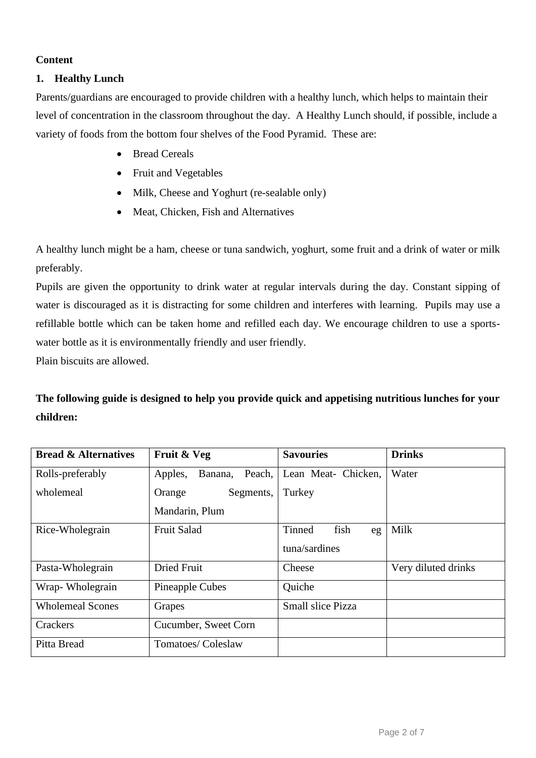### **Content**

## **1. Healthy Lunch**

Parents/guardians are encouraged to provide children with a healthy lunch, which helps to maintain their level of concentration in the classroom throughout the day. A Healthy Lunch should, if possible, include a variety of foods from the bottom four shelves of the Food Pyramid. These are:

- Bread Cereals
- Fruit and Vegetables
- Milk, Cheese and Yoghurt (re-sealable only)
- Meat, Chicken, Fish and Alternatives

A healthy lunch might be a ham, cheese or tuna sandwich, yoghurt, some fruit and a drink of water or milk preferably.

Pupils are given the opportunity to drink water at regular intervals during the day. Constant sipping of water is discouraged as it is distracting for some children and interferes with learning. Pupils may use a refillable bottle which can be taken home and refilled each day. We encourage children to use a sportswater bottle as it is environmentally friendly and user friendly.

Plain biscuits are allowed.

**The following guide is designed to help you provide quick and appetising nutritious lunches for your children:**

| <b>Bread &amp; Alternatives</b> | Fruit & Veg                  | <b>Savouries</b>         | <b>Drinks</b>       |
|---------------------------------|------------------------------|--------------------------|---------------------|
| Rolls-preferably                | Apples,<br>Peach,<br>Banana, | Lean Meat- Chicken,      | Water               |
| wholemeal                       | Segments,<br>Orange          | Turkey                   |                     |
|                                 | Mandarin, Plum               |                          |                     |
| Rice-Wholegrain                 | Fruit Salad                  | fish<br>Tinned<br>eg     | Milk                |
|                                 |                              | tuna/sardines            |                     |
| Pasta-Wholegrain                | <b>Dried Fruit</b>           | Cheese                   | Very diluted drinks |
| Wrap-Wholegrain                 | Pineapple Cubes              | Quiche                   |                     |
| <b>Wholemeal Scones</b>         | Grapes                       | <b>Small slice Pizza</b> |                     |
| Crackers                        | Cucumber, Sweet Corn         |                          |                     |
| Pitta Bread                     | Tomatoes/Coleslaw            |                          |                     |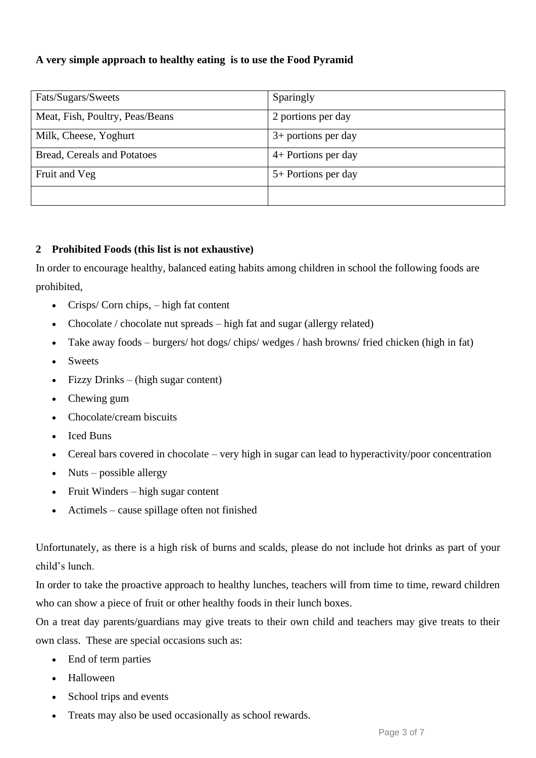# **A very simple approach to healthy eating is to use the Food Pyramid**

| Fats/Sugars/Sweets              | Sparingly             |
|---------------------------------|-----------------------|
| Meat, Fish, Poultry, Peas/Beans | 2 portions per day    |
| Milk, Cheese, Yoghurt           | $3+$ portions per day |
| Bread, Cereals and Potatoes     | 4+ Portions per day   |
| Fruit and Veg                   | 5+ Portions per day   |
|                                 |                       |

## **2 Prohibited Foods (this list is not exhaustive)**

In order to encourage healthy, balanced eating habits among children in school the following foods are prohibited,

- Crisps/ Corn chips, high fat content
- Chocolate / chocolate nut spreads high fat and sugar (allergy related)
- Take away foods burgers/ hot dogs/ chips/ wedges / hash browns/ fried chicken (high in fat)
- Sweets
- Fizzy Drinks (high sugar content)
- Chewing gum
- Chocolate/cream biscuits
- Iced Buns
- Cereal bars covered in chocolate very high in sugar can lead to hyperactivity/poor concentration
- Nuts possible allergy
- Fruit Winders high sugar content
- Actimels cause spillage often not finished

Unfortunately, as there is a high risk of burns and scalds, please do not include hot drinks as part of your child's lunch.

In order to take the proactive approach to healthy lunches, teachers will from time to time, reward children who can show a piece of fruit or other healthy foods in their lunch boxes.

On a treat day parents/guardians may give treats to their own child and teachers may give treats to their own class. These are special occasions such as:

- End of term parties
- Halloween
- School trips and events
- Treats may also be used occasionally as school rewards.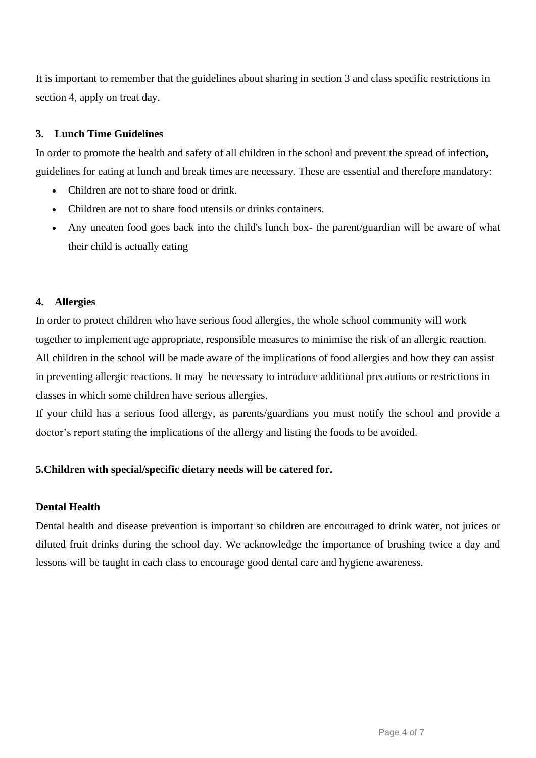It is important to remember that the guidelines about sharing in section 3 and class specific restrictions in section 4, apply on treat day.

## **3. Lunch Time Guidelines**

In order to promote the health and safety of all children in the school and prevent the spread of infection, guidelines for eating at lunch and break times are necessary. These are essential and therefore mandatory:

- Children are not to share food or drink.
- Children are not to share food utensils or drinks containers.
- Any uneaten food goes back into the child's lunch box- the parent/guardian will be aware of what their child is actually eating

## **4. Allergies**

In order to protect children who have serious food allergies, the whole school community will work together to implement age appropriate, responsible measures to minimise the risk of an allergic reaction. All children in the school will be made aware of the implications of food allergies and how they can assist in preventing allergic reactions. It may be necessary to introduce additional precautions or restrictions in classes in which some children have serious allergies.

If your child has a serious food allergy, as parents/guardians you must notify the school and provide a doctor's report stating the implications of the allergy and listing the foods to be avoided.

# **5.Children with special/specific dietary needs will be catered for.**

## **Dental Health**

Dental health and disease prevention is important so children are encouraged to drink water, not juices or diluted fruit drinks during the school day. We acknowledge the importance of brushing twice a day and lessons will be taught in each class to encourage good dental care and hygiene awareness.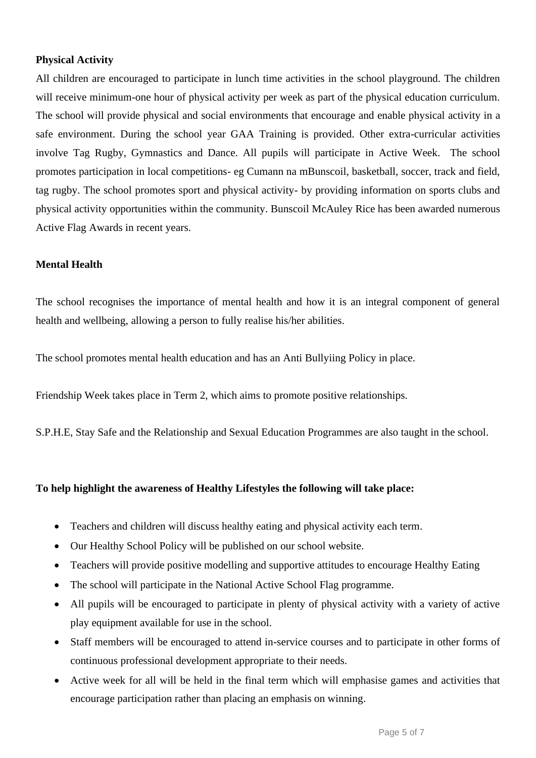## **Physical Activity**

All children are encouraged to participate in lunch time activities in the school playground. The children will receive minimum-one hour of physical activity per week as part of the physical education curriculum. The school will provide physical and social environments that encourage and enable physical activity in a safe environment. During the school year GAA Training is provided. Other extra-curricular activities involve Tag Rugby, Gymnastics and Dance. All pupils will participate in Active Week. The school promotes participation in local competitions- eg Cumann na mBunscoil, basketball, soccer, track and field, tag rugby. The school promotes sport and physical activity- by providing information on sports clubs and physical activity opportunities within the community. Bunscoil McAuley Rice has been awarded numerous Active Flag Awards in recent years.

## **Mental Health**

The school recognises the importance of mental health and how it is an integral component of general health and wellbeing, allowing a person to fully realise his/her abilities.

The school promotes mental health education and has an Anti Bullyiing Policy in place.

Friendship Week takes place in Term 2, which aims to promote positive relationships.

S.P.H.E, Stay Safe and the Relationship and Sexual Education Programmes are also taught in the school.

## **To help highlight the awareness of Healthy Lifestyles the following will take place:**

- Teachers and children will discuss healthy eating and physical activity each term.
- Our Healthy School Policy will be published on our school website.
- Teachers will provide positive modelling and supportive attitudes to encourage Healthy Eating
- The school will participate in the National Active School Flag programme.
- All pupils will be encouraged to participate in plenty of physical activity with a variety of active play equipment available for use in the school.
- Staff members will be encouraged to attend in-service courses and to participate in other forms of continuous professional development appropriate to their needs.
- Active week for all will be held in the final term which will emphasise games and activities that encourage participation rather than placing an emphasis on winning.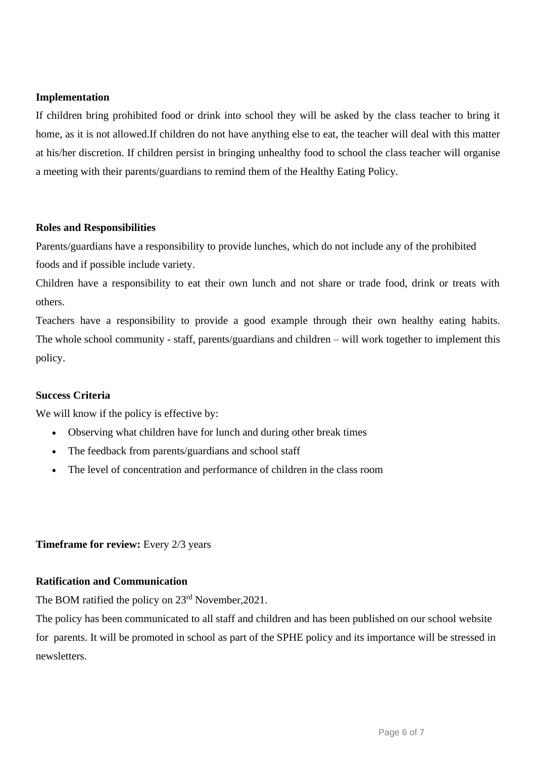### **Implementation**

If children bring prohibited food or drink into school they will be asked by the class teacher to bring it home, as it is not allowed.If children do not have anything else to eat, the teacher will deal with this matter at his/her discretion. If children persist in bringing unhealthy food to school the class teacher will organise a meeting with their parents/guardians to remind them of the Healthy Eating Policy.

### **Roles and Responsibilities**

Parents/guardians have a responsibility to provide lunches, which do not include any of the prohibited foods and if possible include variety.

Children have a responsibility to eat their own lunch and not share or trade food, drink or treats with others.

Teachers have a responsibility to provide a good example through their own healthy eating habits. The whole school community - staff, parents/guardians and children – will work together to implement this policy.

### **Success Criteria**

We will know if the policy is effective by:

- Observing what children have for lunch and during other break times
- The feedback from parents/guardians and school staff
- The level of concentration and performance of children in the class room

### **Timeframe for review:** Every 2/3 years

## **Ratification and Communication**

The BOM ratified the policy on  $23<sup>rd</sup>$  November, 2021.

The policy has been communicated to all staff and children and has been published on our school website for parents. It will be promoted in school as part of the SPHE policy and its importance will be stressed in newsletters.